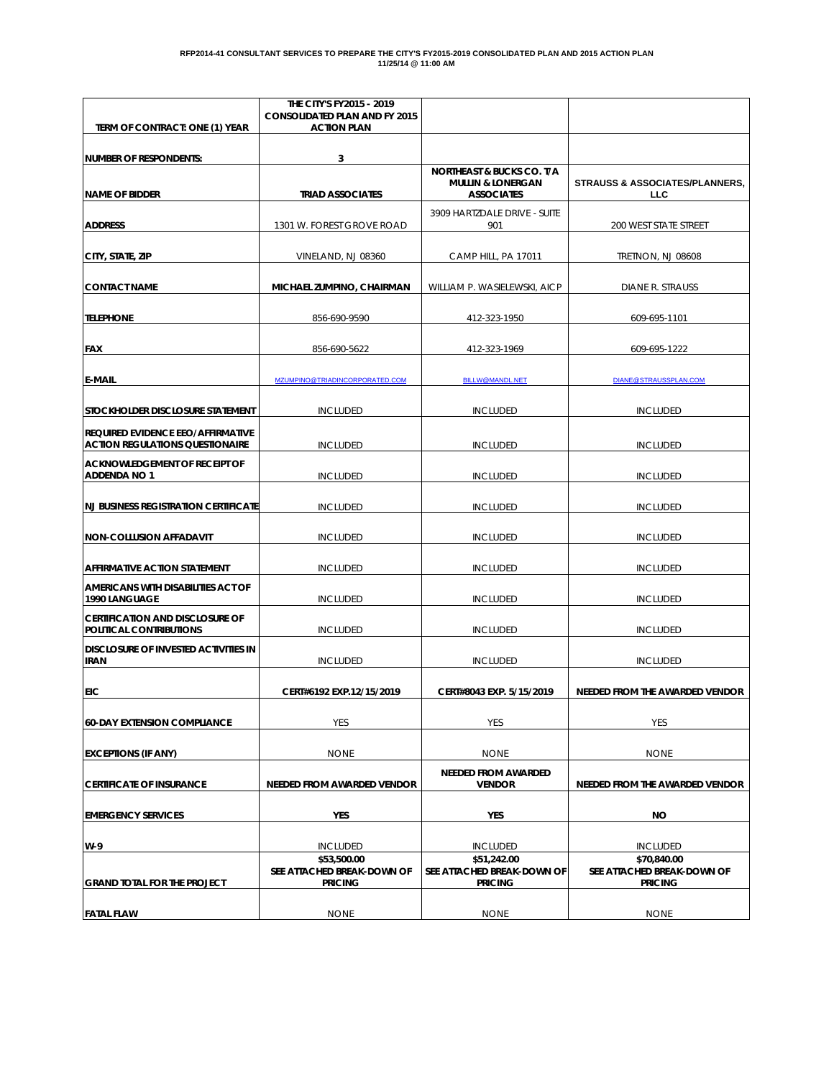| TERM OF CONTRACT: ONE (1) YEAR                                                     | THE CITY'S FY2015 - 2019<br><b>CONSOLIDATED PLAN AND FY 2015</b><br><b>ACTION PLAN</b> |                                                                                           |                                                             |  |  |  |  |  |  |
|------------------------------------------------------------------------------------|----------------------------------------------------------------------------------------|-------------------------------------------------------------------------------------------|-------------------------------------------------------------|--|--|--|--|--|--|
| <b>NUMBER OF RESPONDENTS:</b>                                                      | 3                                                                                      |                                                                                           |                                                             |  |  |  |  |  |  |
| <b>NAME OF BIDDER</b>                                                              | <b>TRIAD ASSOCIATES</b>                                                                | <b>NORTHEAST &amp; BUCKS CO. T/A</b><br><b>MULLIN &amp; LONERGAN</b><br><b>ASSOCIATES</b> | <b>STRAUSS &amp; ASSOCIATES/PLANNERS,</b><br><b>LLC</b>     |  |  |  |  |  |  |
| <b>ADDRESS</b>                                                                     | 1301 W. FOREST GROVE ROAD                                                              | 3909 HARTZDALE DRIVE - SUITE<br>901                                                       | 200 WEST STATE STREET                                       |  |  |  |  |  |  |
| CITY, STATE, ZIP                                                                   | VINELAND, NJ 08360                                                                     | CAMP HILL, PA 17011                                                                       | <b>TRETNON, NJ 08608</b>                                    |  |  |  |  |  |  |
| <b>CONTACT NAME</b>                                                                | MICHAEL ZUMPINO, CHAIRMAN                                                              | WILLIAM P. WASIELEWSKI, AICP                                                              | DIANE R. STRAUSS                                            |  |  |  |  |  |  |
| <b>TELEPHONE</b>                                                                   | 856-690-9590                                                                           | 412-323-1950                                                                              | 609-695-1101                                                |  |  |  |  |  |  |
| <b>FAX</b>                                                                         | 856-690-5622                                                                           | 412-323-1969                                                                              | 609-695-1222                                                |  |  |  |  |  |  |
| <b>E-MAIL</b>                                                                      | MZUMPINO@TRIADINCORPORATED.COM                                                         | <b>BILLW@MANDL.NET</b>                                                                    | DIANE@STRAUSSPLAN.COM                                       |  |  |  |  |  |  |
| <b>ISTOCKHOLDER DISCLOSURE STATEMENT</b>                                           | <b>INCLUDED</b>                                                                        | <b>INCLUDED</b>                                                                           | <b>INCLUDED</b>                                             |  |  |  |  |  |  |
| <b>REQUIRED EVIDENCE EEO/AFFIRMATIVE</b><br><b>ACTION REGULATIONS QUESTIONAIRE</b> | <b>INCLUDED</b>                                                                        | <b>INCLUDED</b>                                                                           | <b>INCLUDED</b>                                             |  |  |  |  |  |  |
| <b>ACKNOWLEDGEMENT OF RECEIPT OF</b><br><b>ADDENDA NO 1</b>                        | <b>INCLUDED</b>                                                                        | <b>INCLUDED</b>                                                                           | <b>INCLUDED</b>                                             |  |  |  |  |  |  |
| <b>NJ BUSINESS REGISTRATION CERTIFICATE</b>                                        | <b>INCLUDED</b>                                                                        | <b>INCLUDED</b>                                                                           | <b>INCLUDED</b>                                             |  |  |  |  |  |  |
| <b>NON-COLLUSION AFFADAVIT</b>                                                     | <b>INCLUDED</b>                                                                        | <b>INCLUDED</b>                                                                           | <b>INCLUDED</b>                                             |  |  |  |  |  |  |
| <b>AFFIRMATIVE ACTION STATEMENT</b>                                                | <b>INCLUDED</b>                                                                        | <b>INCLUDED</b>                                                                           | <b>INCLUDED</b>                                             |  |  |  |  |  |  |
| AMERICANS WITH DISABILITIES ACT OF<br>1990 LANGUAGE                                | <b>INCLUDED</b>                                                                        | <b>INCLUDED</b>                                                                           | <b>INCLUDED</b>                                             |  |  |  |  |  |  |
| <b>CERTIFICATION AND DISCLOSURE OF</b><br>POLITICAL CONTRIBUTIONS                  | <b>INCLUDED</b>                                                                        | <b>INCLUDED</b>                                                                           | <b>INCLUDED</b>                                             |  |  |  |  |  |  |
| <b>DISCLOSURE OF INVESTED ACTIVITIES IN</b><br><b>IRAN</b>                         | <b>INCLUDED</b>                                                                        | <b>INCLUDED</b>                                                                           | <b>INCLUDED</b>                                             |  |  |  |  |  |  |
| <b>EIC</b>                                                                         | CERT#6192 EXP.12/15/2019                                                               | CERT#8043 EXP. 5/15/2019                                                                  | NEEDED FROM THE AWARDED VENDOR                              |  |  |  |  |  |  |
| <b>60-DAY EXTENSION COMPLIANCE</b>                                                 | <b>YES</b>                                                                             | <b>YES</b>                                                                                | YES                                                         |  |  |  |  |  |  |
| <b>EXCEPTIONS (IF ANY)</b>                                                         | <b>NONE</b>                                                                            | <b>NONE</b>                                                                               | <b>NONE</b>                                                 |  |  |  |  |  |  |
| <b>CERTIFICATE OF INSURANCE</b>                                                    | NEEDED FROM AWARDED VENDOR                                                             | <b>NEEDED FROM AWARDED</b><br><b>VENDOR</b>                                               | NEEDED FROM THE AWARDED VENDOR                              |  |  |  |  |  |  |
| <b>EMERGENCY SERVICES</b>                                                          | YES                                                                                    | YES                                                                                       | NO                                                          |  |  |  |  |  |  |
| $W-9$                                                                              | <b>INCLUDED</b>                                                                        | <b>INCLUDED</b>                                                                           | <b>INCLUDED</b>                                             |  |  |  |  |  |  |
| <b>GRAND TOTAL FOR THE PROJECT</b>                                                 | \$53,500.00<br>SEE ATTACHED BREAK-DOWN OF<br><b>PRICING</b>                            | \$51,242.00<br>SEE ATTACHED BREAK-DOWN OF<br><b>PRICING</b>                               | \$70,840.00<br>SEE ATTACHED BREAK-DOWN OF<br><b>PRICING</b> |  |  |  |  |  |  |
| <b>FATAL FLAW</b>                                                                  | <b>NONE</b>                                                                            | <b>NONE</b>                                                                               | <b>NONE</b>                                                 |  |  |  |  |  |  |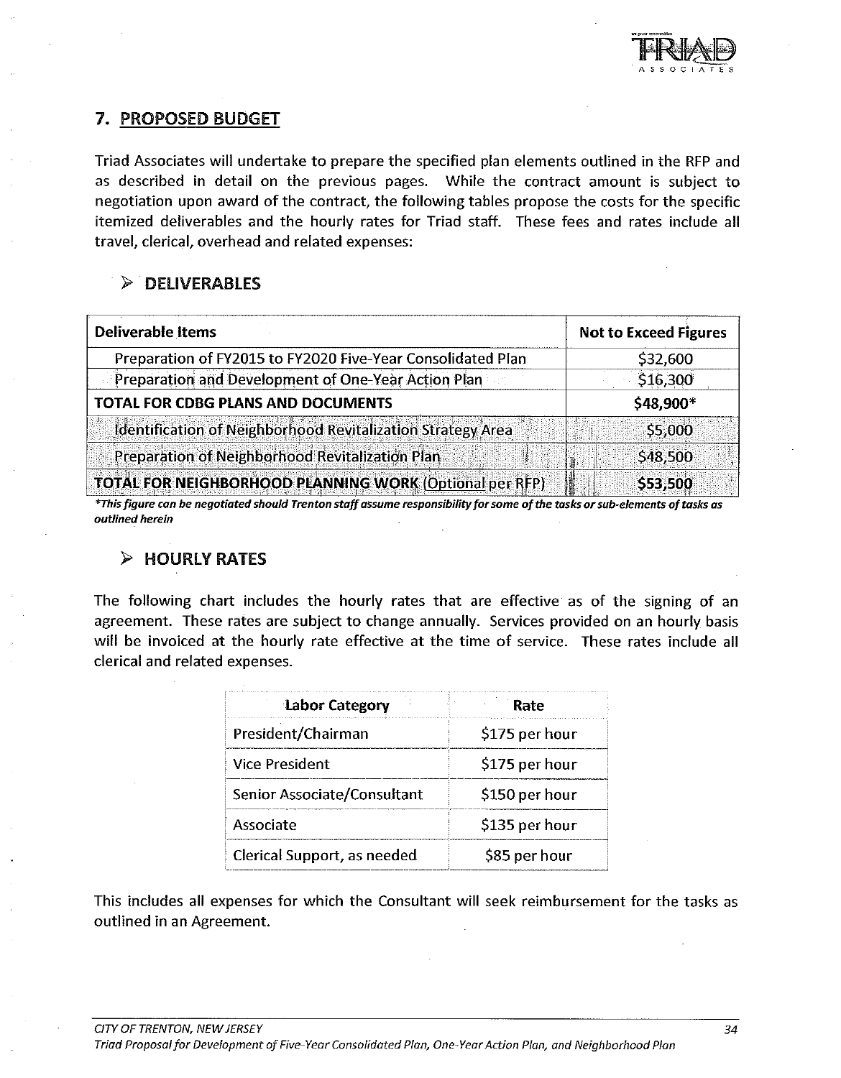

#### 7. PROPOSED BUDGET

Triad Associates will undertake to prepare the specified plan elements outlined in the RFP and as described in detail on the previous pages. While the contract amount is subject to negotiation upon award of the contract, the following tables propose the costs for the specific itemized deliverables and the hourly rates for Triad staff. These fees and rates include all travel, clerical, overhead and related expenses:

### $\triangleright$  DELIVERABLES

| <b>Deliverable Items</b>                                       | <b>Not to Exceed Figures</b> |
|----------------------------------------------------------------|------------------------------|
| Preparation of FY2015 to FY2020 Five-Year Consolidated Plan    | \$32,600                     |
| Preparation and Development of One-Year Action Plan            | \$16,300                     |
| <b>TOTAL FOR CDBG PLANS AND DOCUMENTS</b>                      | \$48,900*                    |
| Identification of Neighborhood Revitalization Strategy Area    | \$5,000                      |
| Preparation of Neighborhood Revitalization Plan                | \$48,500                     |
| <b>TOTAL FOR NEIGHBORHOOD PLANNING WORK (Optional per RFP)</b> | \$53,500                     |

\*This figure can be negotiated should Trenton staff assume responsibility for some of the tasks or sub-elements of tasks as outlined herein

#### $\triangleright$  HOURLY RATES

The following chart includes the hourly rates that are effective as of the signing of an agreement. These rates are subject to change annually. Services provided on an hourly basis will be invoiced at the hourly rate effective at the time of service. These rates include all clerical and related expenses.

| Labor Category              | Rate           |
|-----------------------------|----------------|
| President/Chairman          | \$175 per hour |
| <b>Vice President</b>       | \$175 per hour |
| Senior Associate/Consultant | \$150 per hour |
| Associate                   | \$135 per hour |
| Clerical Support, as needed | \$85 per hour  |

This includes all expenses for which the Consultant will seek reimbursement for the tasks as outlined in an Agreement.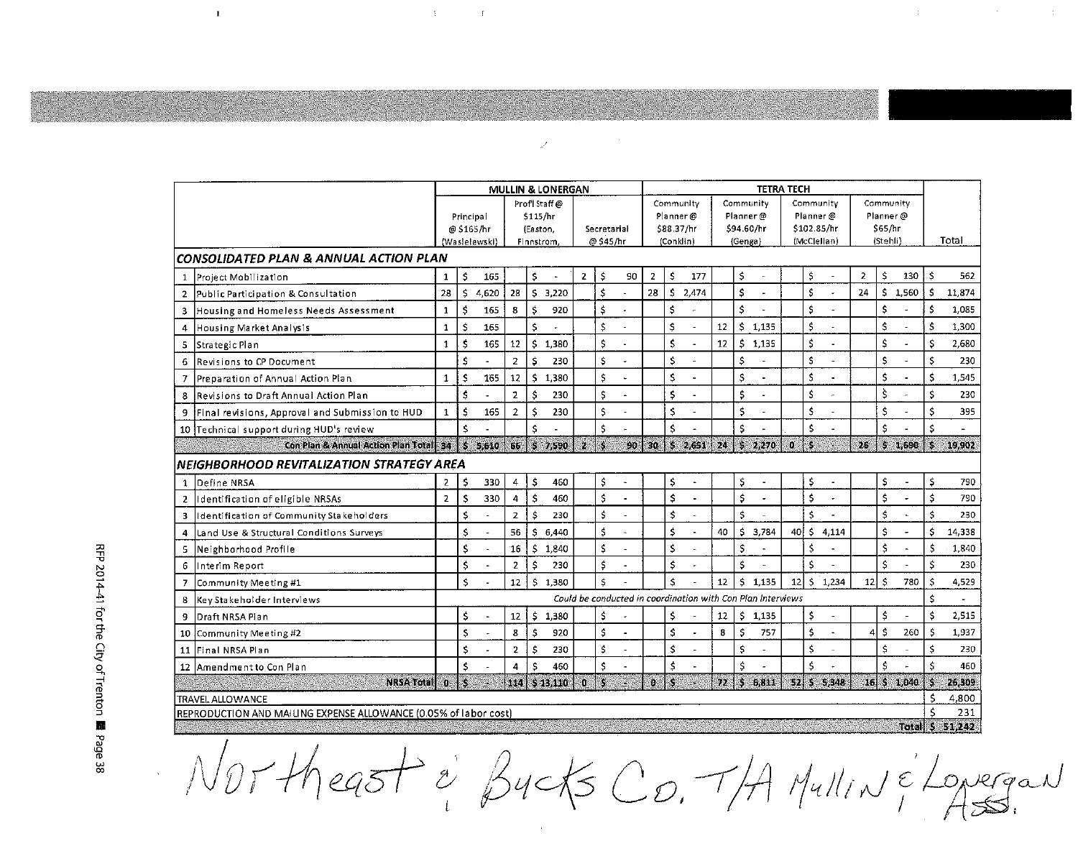|                                        |                                                                  | <b>TETRA TECH</b><br><b>MULLIN &amp; LONERGAN</b> |    |                        |                 |                          |         |              |           |                                |                |    |                                                             |                  |                         |                          |                 |     |                      |                  |    |         |    |              |
|----------------------------------------|------------------------------------------------------------------|---------------------------------------------------|----|------------------------|-----------------|--------------------------|---------|--------------|-----------|--------------------------------|----------------|----|-------------------------------------------------------------|------------------|-------------------------|--------------------------|-----------------|-----|----------------------|------------------|----|---------|----|--------------|
|                                        |                                                                  |                                                   |    |                        | Profil Staff@   |                          |         |              |           | Community                      |                |    | Community                                                   |                  |                         | Community                |                 |     | Community            |                  |    |         |    |              |
|                                        |                                                                  | Principal                                         |    | \$115/hr               |                 |                          |         |              |           | Planner $\omega$<br>\$88.37/hr |                |    | Planner@<br>\$94.60/hr                                      |                  |                         | Planner@<br>\$102.85/hr  |                 |     | Planner @<br>\$65/hr |                  |    |         |    |              |
|                                        |                                                                  | @ \$165/hr<br>(Wasielewski)                       |    | (Easton,<br>Finnstrom. |                 | Secretarial<br>@ \$45/hr |         |              | (Conklin) |                                | (Genga)        |    |                                                             | (McClellan)      |                         | (Stehli)                 |                 |     |                      | Total            |    |         |    |              |
| CONSOLIDATED PLAN & ANNUAL ACTION PLAN |                                                                  |                                                   |    |                        |                 |                          |         |              |           |                                |                |    |                                                             |                  |                         |                          |                 |     |                      |                  |    |         |    |              |
| $\mathbf{1}$                           | Project Mobilization                                             | $\mathbf{1}$                                      | \$ | 165                    |                 | \$                       |         | $\mathbf{2}$ | \$        | 90                             | $\overline{2}$ | \$ | 177                                                         |                  | \$                      |                          |                 | \$  |                      | $\overline{2}$   | \$ | 130     | \$ | 562          |
| $\overline{2}$                         | Public Participation & Consultation                              | 28                                                | Ś  | 4.620                  | 28              | Ś.                       | 3,220   |              | \$        |                                | 28             | \$ | 2,474                                                       |                  | \$                      | $\overline{\phantom{a}}$ |                 | \$  |                      | 24               |    | \$1,560 | \$ | 11,874       |
| 3                                      | Housing and Homeless Needs Assessment                            | $\mathbf{1}$                                      | \$ | 165                    | 8               | \$                       | 920     |              | \$        |                                |                | \$ |                                                             |                  | Ś                       |                          |                 | \$  |                      |                  | \$ |         | \$ | 1,085        |
| 4                                      | Housing Market Analysis                                          | $\mathbf{1}$                                      | \$ | 165                    |                 | Ś                        |         |              | \$        |                                |                | \$ | $\ddot{\phantom{a}}$                                        | 12               | Ŝ                       | 1,135                    |                 | \$  |                      |                  | \$ |         | \$ | 1,300        |
| 5                                      | Strategic Plan                                                   | $\mathbf{1}$                                      | \$ | 165                    | 12              | Ś                        | 1,380   |              | Ś         |                                |                | \$ | $\overline{\phantom{a}}$                                    | 12               | $\overline{\mathbf{5}}$ | 1,135                    |                 | \$  |                      |                  | Ś  |         | \$ | 2,680        |
| 6                                      | Revisions to CP Document                                         |                                                   | \$ |                        | $\overline{2}$  | \$                       | 230     |              | \$        |                                |                | Ś  | L.                                                          |                  | \$                      |                          |                 | \$  |                      |                  | \$ |         | \$ | 230          |
| $\overline{7}$                         | Preparation of Annual Action Plan                                | $\mathbf{1}$                                      | \$ | 165                    | 12 <sup>2</sup> | \$                       | 1,380   |              | \$        |                                |                | \$ | L.                                                          |                  | \$                      |                          |                 | \$  |                      |                  | \$ |         | \$ | 1,545        |
| 8                                      | Revisions to Draft Annual Action Plan                            |                                                   | \$ |                        | $\overline{2}$  | ŝ                        | 230     |              | \$        |                                |                | \$ |                                                             |                  | \$                      |                          |                 | Ś   |                      |                  | ś  |         | \$ | 230          |
| 9                                      | Final revisions, Approval and Submission to HUD                  | $\mathbf{1}$                                      | \$ | 165                    | $\overline{2}$  | Ŝ                        | 230     |              | Ś         |                                |                | \$ | $\overline{a}$                                              |                  | \$                      |                          |                 | \$  | ÷.                   |                  | \$ |         | \$ | 395          |
| 10                                     | Technical support during HUD's review                            |                                                   | \$ |                        |                 | Ś                        |         |              | Ś         |                                |                | Ś  |                                                             |                  | Ś                       |                          |                 | \$  |                      |                  | \$ |         | \$ |              |
|                                        | Con Plan & Annual Action Plan Total 34                           |                                                   | Ø, | 5.610                  | icis)           | 躢                        | 7,590   | ið.          | ý.        | 90                             | XЮ             | Ś  | 2,651                                                       | ы.               | $\hat{\mathcal{A}}$     | 2,270                    | b.              | S   |                      | $\mathcal{O}(n)$ | ¢, | 1,690   | ś  | 19,902       |
|                                        | NEIGHBORHOOD REVITALIZATION STRATEGY AREA                        |                                                   |    |                        |                 |                          |         |              |           |                                |                |    |                                                             |                  |                         |                          |                 |     |                      |                  |    |         |    |              |
| $\mathbf{1}$                           | Define NRSA                                                      | $\overline{2}$                                    | \$ | 330                    | 4               | Ś                        | 460     |              | \$        |                                |                | \$ | ä,                                                          |                  | \$                      | $\blacksquare$           |                 | \$  |                      |                  | \$ |         | \$ | 790          |
| $\overline{2}$                         | Identification of eligible NRSAs                                 | $\overline{2}$                                    | \$ | 330                    | 4               | Ś                        | 460     |              | \$        | $\blacksquare$                 |                | \$ | $\overline{a}$                                              |                  | \$                      | $\overline{\phantom{a}}$ |                 | \$  |                      |                  | \$ |         | \$ | 790          |
| 3                                      | Identification of Community Stakeholders                         |                                                   | \$ |                        | $\overline{2}$  | \$                       | 230     |              | Ś         |                                |                | \$ | ÷,                                                          |                  | \$                      |                          |                 | \$  |                      |                  | \$ |         | \$ | 230          |
| 4                                      | Land Use & Structural Conditions Surveys                         |                                                   | \$ |                        | 56              | s                        | 6,440   |              | Ś         |                                |                | \$ |                                                             | 40               | Ś                       | 3,784                    | 40              | \$  | 4.114                |                  | \$ |         | \$ | 14,338       |
| 5                                      | Neighborhood Profile                                             |                                                   | \$ |                        | 16              | \$                       | 1,840   |              | \$        |                                |                | \$ | ÷,                                                          |                  | \$                      |                          |                 | \$  |                      |                  | \$ |         | \$ | 1,840        |
| 6                                      | Interim Report                                                   |                                                   | \$ |                        | $\overline{2}$  | \$                       | 230     |              | \$        |                                |                | \$ |                                                             |                  | Ś                       |                          |                 | \$  |                      |                  | \$ |         | \$ | 230          |
| 7                                      | Community Meeting #1                                             |                                                   | Ś  |                        | 12              | s                        | 1.380   |              | Ś         |                                |                | Ś  |                                                             | 12               | s                       | 1.135                    | 12 <sub>1</sub> | \$  | 1.234                | $12$ s           |    | 780     | \$ | 4,529        |
| 8                                      | Key Stakeholder Interviews                                       |                                                   |    |                        |                 |                          |         |              |           |                                |                |    | Could be conducted in coordination with Con Plan Interviews |                  |                         |                          |                 |     |                      |                  |    |         | Ś  |              |
| 9                                      | Draft NRSA Plan                                                  |                                                   | \$ |                        | 12 <sup>2</sup> | \$                       | 1,380   |              | \$        |                                |                | \$ |                                                             | 12 <sup>12</sup> | \$                      | 1,135                    |                 | \$  |                      |                  | \$ |         | Ś  | 2,515        |
| 10                                     | Community Meeting #2                                             |                                                   | \$ |                        | 8               | \$                       | 920     |              | Ś         |                                |                | \$ | ä,                                                          | 8                | \$                      | 757                      |                 | \$  |                      | 4                | Ś  | 260     | \$ | 1,937        |
| 11                                     | Final NRSA Plan                                                  |                                                   | \$ |                        | $\overline{2}$  | \$                       | 230     |              | \$        |                                |                | \$ |                                                             |                  | \$.                     |                          |                 | \$  |                      |                  | \$ |         | \$ | 230          |
| $12 \overline{ }$                      | Amendment to Con Plan                                            |                                                   | \$ |                        | 4               | Ŝ                        | 460     |              | \$        |                                |                | Ś  |                                                             |                  | Ś                       |                          |                 | Ś   |                      |                  | Ś. |         | \$ | 460          |
|                                        | <b>NRSA Totall</b>                                               | ΩĎ,                                               | j. |                        | M 48            |                          | \$13410 | iÓ.          | Ŷ,        |                                | Ø.             | J. |                                                             | $\eta_{\rm Z}$   | S.                      | 6,811                    | 题               | ЛŚ, | 5,348                | - 61             | ×, | 1,040   | S  | 26,309       |
|                                        | <b>TRAVEL ALLOWANCE</b>                                          |                                                   |    |                        |                 |                          |         |              |           |                                |                |    |                                                             |                  |                         |                          |                 |     |                      |                  |    |         | Ś  | 4,800        |
|                                        | REPRODUCTION AND MAILING EXPENSE ALLOWANCE (0.05% of labor cost) |                                                   |    |                        |                 |                          |         |              |           |                                |                |    |                                                             |                  |                         |                          |                 |     |                      |                  |    | Texal 3 | Ś  | 231<br>5.342 |

NOT-theast & Bucks Co. T/A Mullin & Lovergan

 $\mathcal{S}$ 

 $\sim$   $\sim$ 

 $\mathfrak{X}^{\mathbb{C}}$  and  $\mathfrak{X}^{\mathbb{C}}$  . If

 $\mathbf{I}$ 

 $\mathcal{A}^{\mathcal{A}}$